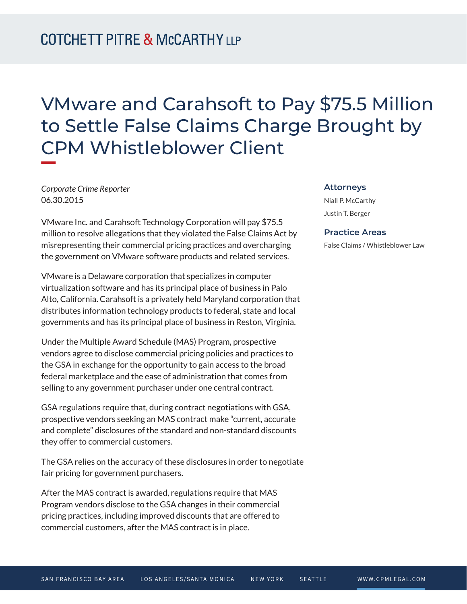# VMware and Carahsoft to Pay \$75.5 Million to Settle False Claims Charge Brought by CPM Whistleblower Client

*Corporate Crime Reporter* 06.30.2015

VMware Inc. and Carahsoft Technology Corporation will pay \$75.5 million to resolve allegations that they violated the False Claims Act by misrepresenting their commercial pricing practices and overcharging the government on VMware software products and related services.

VMware is a Delaware corporation that specializes in computer virtualization software and has its principal place of business in Palo Alto, California. Carahsoft is a privately held Maryland corporation that distributes information technology products to federal, state and local governments and has its principal place of business in Reston, Virginia.

Under the Multiple Award Schedule (MAS) Program, prospective vendors agree to disclose commercial pricing policies and practices to the GSA in exchange for the opportunity to gain access to the broad federal marketplace and the ease of administration that comes from selling to any government purchaser under one central contract.

GSA regulations require that, during contract negotiations with GSA, prospective vendors seeking an MAS contract make "current, accurate and complete" disclosures of the standard and non-standard discounts they offer to commercial customers.

The GSA relies on the accuracy of these disclosures in order to negotiate fair pricing for government purchasers.

After the MAS contract is awarded, regulations require that MAS Program vendors disclose to the GSA changes in their commercial pricing practices, including improved discounts that are offered to commercial customers, after the MAS contract is in place.

#### **Attorneys**

Niall P. McCarthy Justin T. Berger

#### **Practice Areas**

False Claims / Whistleblower Law